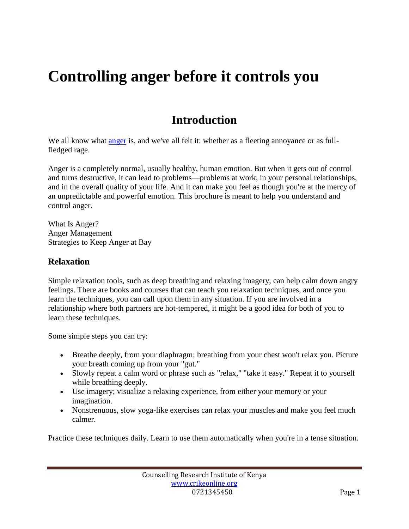# **Controlling anger before it controls you**

## **Introduction**

We all know what [anger](http://www.apa.org/topics/anger/index.aspx) is, and we've all felt it: whether as a fleeting annoyance or as fullfledged rage.

Anger is a completely normal, usually healthy, human emotion. But when it gets out of control and turns destructive, it can lead to problems—problems at work, in your personal relationships, and in the overall quality of your life. And it can make you feel as though you're at the mercy of an unpredictable and powerful emotion. This brochure is meant to help you understand and control anger.

What Is Anger? Anger Management Strategies to Keep Anger at Bay

#### **Relaxation**

Simple relaxation tools, such as deep breathing and relaxing imagery, can help calm down angry feelings. There are books and courses that can teach you relaxation techniques, and once you learn the techniques, you can call upon them in any situation. If you are involved in a relationship where both partners are hot-tempered, it might be a good idea for both of you to learn these techniques.

Some simple steps you can try:

- Breathe deeply, from your diaphragm; breathing from your chest won't relax you. Picture your breath coming up from your "gut."
- Slowly repeat a calm word or phrase such as "relax," "take it easy." Repeat it to yourself while breathing deeply.
- Use imagery; visualize a relaxing experience, from either your memory or your imagination.
- Nonstrenuous, slow yoga-like exercises can relax your muscles and make you feel much calmer.

Practice these techniques daily. Learn to use them automatically when you're in a tense situation.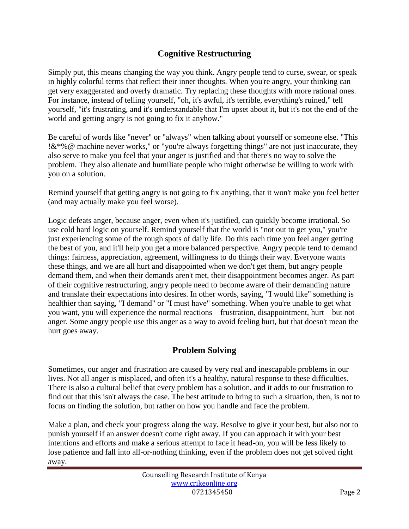### **Cognitive Restructuring**

Simply put, this means changing the way you think. Angry people tend to curse, swear, or speak in highly colorful terms that reflect their inner thoughts. When you're angry, your thinking can get very exaggerated and overly dramatic. Try replacing these thoughts with more rational ones. For instance, instead of telling yourself, "oh, it's awful, it's terrible, everything's ruined," tell yourself, "it's frustrating, and it's understandable that I'm upset about it, but it's not the end of the world and getting angry is not going to fix it anyhow."

Be careful of words like "never" or "always" when talking about yourself or someone else. "This !&\*%@ machine never works," or "you're always forgetting things" are not just inaccurate, they also serve to make you feel that your anger is justified and that there's no way to solve the problem. They also alienate and humiliate people who might otherwise be willing to work with you on a solution.

Remind yourself that getting angry is not going to fix anything, that it won't make you feel better (and may actually make you feel worse).

Logic defeats anger, because anger, even when it's justified, can quickly become irrational. So use cold hard logic on yourself. Remind yourself that the world is "not out to get you," you're just experiencing some of the rough spots of daily life. Do this each time you feel anger getting the best of you, and it'll help you get a more balanced perspective. Angry people tend to demand things: fairness, appreciation, agreement, willingness to do things their way. Everyone wants these things, and we are all hurt and disappointed when we don't get them, but angry people demand them, and when their demands aren't met, their disappointment becomes anger. As part of their cognitive restructuring, angry people need to become aware of their demanding nature and translate their expectations into desires. In other words, saying, "I would like" something is healthier than saying, "I demand" or "I must have" something. When you're unable to get what you want, you will experience the normal reactions—frustration, disappointment, hurt—but not anger. Some angry people use this anger as a way to avoid feeling hurt, but that doesn't mean the hurt goes away.

#### **Problem Solving**

Sometimes, our anger and frustration are caused by very real and inescapable problems in our lives. Not all anger is misplaced, and often it's a healthy, natural response to these difficulties. There is also a cultural belief that every problem has a solution, and it adds to our frustration to find out that this isn't always the case. The best attitude to bring to such a situation, then, is not to focus on finding the solution, but rather on how you handle and face the problem.

Make a plan, and check your progress along the way. Resolve to give it your best, but also not to punish yourself if an answer doesn't come right away. If you can approach it with your best intentions and efforts and make a serious attempt to face it head-on, you will be less likely to lose patience and fall into all-or-nothing thinking, even if the problem does not get solved right away.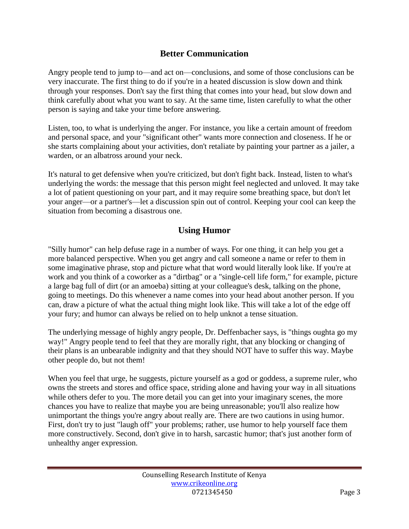#### **Better Communication**

Angry people tend to jump to—and act on—conclusions, and some of those conclusions can be very inaccurate. The first thing to do if you're in a heated discussion is slow down and think through your responses. Don't say the first thing that comes into your head, but slow down and think carefully about what you want to say. At the same time, listen carefully to what the other person is saying and take your time before answering.

Listen, too, to what is underlying the anger. For instance, you like a certain amount of freedom and personal space, and your "significant other" wants more connection and closeness. If he or she starts complaining about your activities, don't retaliate by painting your partner as a jailer, a warden, or an albatross around your neck.

It's natural to get defensive when you're criticized, but don't fight back. Instead, listen to what's underlying the words: the message that this person might feel neglected and unloved. It may take a lot of patient questioning on your part, and it may require some breathing space, but don't let your anger—or a partner's—let a discussion spin out of control. Keeping your cool can keep the situation from becoming a disastrous one.

### **Using Humor**

"Silly humor" can help defuse rage in a number of ways. For one thing, it can help you get a more balanced perspective. When you get angry and call someone a name or refer to them in some imaginative phrase, stop and picture what that word would literally look like. If you're at work and you think of a coworker as a "dirtbag" or a "single-cell life form," for example, picture a large bag full of dirt (or an amoeba) sitting at your colleague's desk, talking on the phone, going to meetings. Do this whenever a name comes into your head about another person. If you can, draw a picture of what the actual thing might look like. This will take a lot of the edge off your fury; and humor can always be relied on to help unknot a tense situation.

The underlying message of highly angry people, Dr. Deffenbacher says, is "things oughta go my way!" Angry people tend to feel that they are morally right, that any blocking or changing of their plans is an unbearable indignity and that they should NOT have to suffer this way. Maybe other people do, but not them!

When you feel that urge, he suggests, picture yourself as a god or goddess, a supreme ruler, who owns the streets and stores and office space, striding alone and having your way in all situations while others defer to you. The more detail you can get into your imaginary scenes, the more chances you have to realize that maybe you are being unreasonable; you'll also realize how unimportant the things you're angry about really are. There are two cautions in using humor. First, don't try to just "laugh off" your problems; rather, use humor to help yourself face them more constructively. Second, don't give in to harsh, sarcastic humor; that's just another form of unhealthy anger expression.